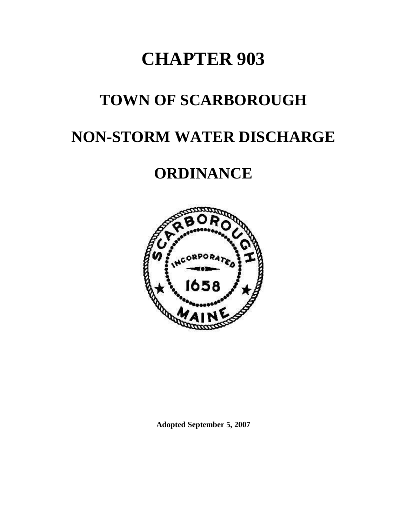# **CHAPTER 903**

## **TOWN OF SCARBOROUGH**

## **NON-STORM WATER DISCHARGE**

## **ORDINANCE**



**Adopted September 5, 2007**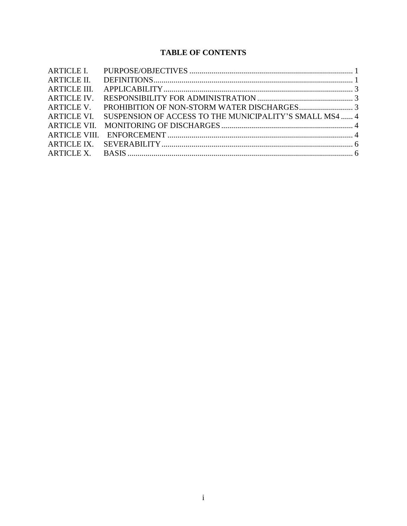#### **TABLE OF CONTENTS**

| <b>ARTICLE II.</b>   |                                                         |  |
|----------------------|---------------------------------------------------------|--|
| ARTICLE III.         |                                                         |  |
| ARTICLE IV.          |                                                         |  |
| ARTICLE V.           |                                                         |  |
| ARTICLE VI.          | SUSPENSION OF ACCESS TO THE MUNICIPALITY'S SMALL MS4  4 |  |
|                      |                                                         |  |
| <b>ARTICLE VIII.</b> |                                                         |  |
|                      |                                                         |  |
|                      |                                                         |  |
|                      |                                                         |  |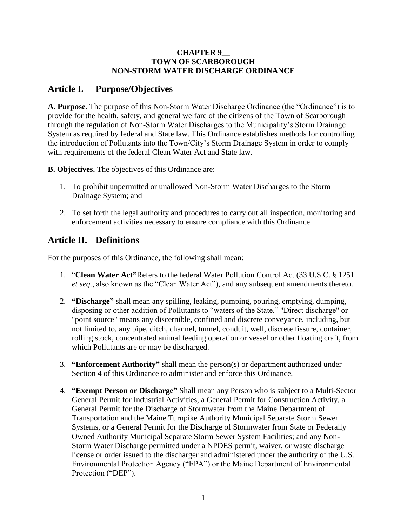#### **CHAPTER 9\_\_ TOWN OF SCARBOROUGH NON-STORM WATER DISCHARGE ORDINANCE**

#### <span id="page-2-0"></span>**Article I. Purpose/Objectives**

**A. Purpose.** The purpose of this Non-Storm Water Discharge Ordinance (the "Ordinance") is to provide for the health, safety, and general welfare of the citizens of the Town of Scarborough through the regulation of Non-Storm Water Discharges to the Municipality's Storm Drainage System as required by federal and State law. This Ordinance establishes methods for controlling the introduction of Pollutants into the Town/City's Storm Drainage System in order to comply with requirements of the federal Clean Water Act and State law.

**B. Objectives.** The objectives of this Ordinance are:

- 1. To prohibit unpermitted or unallowed Non-Storm Water Discharges to the Storm Drainage System; and
- 2. To set forth the legal authority and procedures to carry out all inspection, monitoring and enforcement activities necessary to ensure compliance with this Ordinance.

## <span id="page-2-1"></span>**Article II. Definitions**

For the purposes of this Ordinance, the following shall mean:

- 1. "**Clean Water Act"**Refers to the federal Water Pollution Control Act (33 U.S.C. § 1251 *et seq*., also known as the "Clean Water Act"), and any subsequent amendments thereto.
- 2. **"Discharge"** shall mean any spilling, leaking, pumping, pouring, emptying, dumping, disposing or other addition of Pollutants to "waters of the State." "Direct discharge" or "point source" means any discernible, confined and discrete conveyance, including, but not limited to, any pipe, ditch, channel, tunnel, conduit, well, discrete fissure, container, rolling stock, concentrated animal feeding operation or vessel or other floating craft, from which Pollutants are or may be discharged.
- 3. **"Enforcement Authority"** shall mean the person(s) or department authorized under Section 4 of this Ordinance to administer and enforce this Ordinance.
- 4. **"Exempt Person or Discharge"** Shall mean any Person who is subject to a Multi-Sector General Permit for Industrial Activities, a General Permit for Construction Activity, a General Permit for the Discharge of Stormwater from the Maine Department of Transportation and the Maine Turnpike Authority Municipal Separate Storm Sewer Systems, or a General Permit for the Discharge of Stormwater from State or Federally Owned Authority Municipal Separate Storm Sewer System Facilities; and any Non-Storm Water Discharge permitted under a NPDES permit, waiver, or waste discharge license or order issued to the discharger and administered under the authority of the U.S. Environmental Protection Agency ("EPA") or the Maine Department of Environmental Protection ("DEP").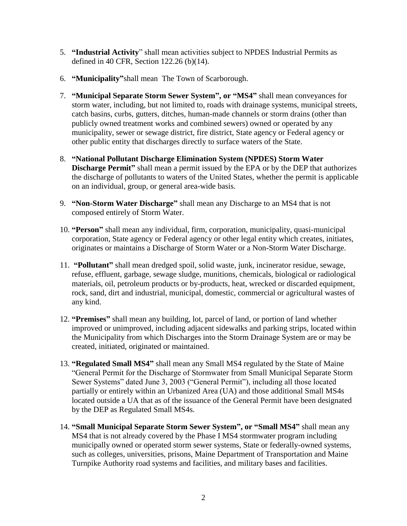- 5. **"Industrial Activity**" shall mean activities subject to NPDES Industrial Permits as defined in 40 CFR, Section 122.26 (b)(14).
- 6. **"Municipality"**shall mean The Town of Scarborough.
- 7. **"Municipal Separate Storm Sewer System", or "MS4"** shall mean conveyances for storm water, including, but not limited to, roads with drainage systems, municipal streets, catch basins, curbs, gutters, ditches, human-made channels or storm drains (other than publicly owned treatment works and combined sewers) owned or operated by any municipality, sewer or sewage district, fire district, State agency or Federal agency or other public entity that discharges directly to surface waters of the State.
- 8. **"National Pollutant Discharge Elimination System (NPDES) Storm Water Discharge Permit**" shall mean a permit issued by the EPA or by the DEP that authorizes the discharge of pollutants to waters of the United States, whether the permit is applicable on an individual, group, or general area-wide basis.
- 9. **"Non-Storm Water Discharge"** shall mean any Discharge to an MS4 that is not composed entirely of Storm Water.
- 10. **"Person"** shall mean any individual, firm, corporation, municipality, quasi-municipal corporation, State agency or Federal agency or other legal entity which creates, initiates, originates or maintains a Discharge of Storm Water or a Non-Storm Water Discharge.
- 11. **"Pollutant"** shall mean dredged spoil, solid waste, junk, incinerator residue, sewage, refuse, effluent, garbage, sewage sludge, munitions, chemicals, biological or radiological materials, oil, petroleum products or by-products, heat, wrecked or discarded equipment, rock, sand, dirt and industrial, municipal, domestic, commercial or agricultural wastes of any kind.
- 12. **"Premises"** shall mean any building, lot, parcel of land, or portion of land whether improved or unimproved, including adjacent sidewalks and parking strips, located within the Municipality from which Discharges into the Storm Drainage System are or may be created, initiated, originated or maintained.
- 13. **"Regulated Small MS4"** shall mean any Small MS4 regulated by the State of Maine "General Permit for the Discharge of Stormwater from Small Municipal Separate Storm Sewer Systems" dated June 3, 2003 ("General Permit"), including all those located partially or entirely within an Urbanized Area (UA) and those additional Small MS4s located outside a UA that as of the issuance of the General Permit have been designated by the DEP as Regulated Small MS4s.
- 14. **"Small Municipal Separate Storm Sewer System", or "Small MS4"** shall mean any MS4 that is not already covered by the Phase I MS4 stormwater program including municipally owned or operated storm sewer systems, State or federally-owned systems, such as colleges, universities, prisons, Maine Department of Transportation and Maine Turnpike Authority road systems and facilities, and military bases and facilities.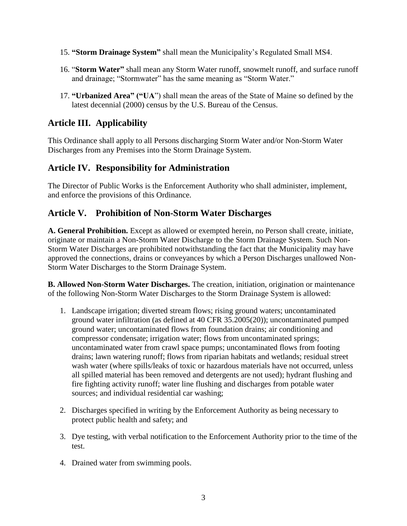- 15. **"Storm Drainage System"** shall mean the Municipality's Regulated Small MS4.
- 16. "**Storm Water"** shall mean any Storm Water runoff, snowmelt runoff, and surface runoff and drainage; "Stormwater" has the same meaning as "Storm Water."
- 17. **"Urbanized Area" ("UA**") shall mean the areas of the State of Maine so defined by the latest decennial (2000) census by the U.S. Bureau of the Census.

## <span id="page-4-0"></span>**Article III. Applicability**

This Ordinance shall apply to all Persons discharging Storm Water and/or Non-Storm Water Discharges from any Premises into the Storm Drainage System.

## <span id="page-4-1"></span>**Article IV. Responsibility for Administration**

The Director of Public Works is the Enforcement Authority who shall administer, implement, and enforce the provisions of this Ordinance.

## <span id="page-4-2"></span>**Article V. Prohibition of Non-Storm Water Discharges**

**A. General Prohibition.** Except as allowed or exempted herein, no Person shall create, initiate, originate or maintain a Non-Storm Water Discharge to the Storm Drainage System. Such Non-Storm Water Discharges are prohibited notwithstanding the fact that the Municipality may have approved the connections, drains or conveyances by which a Person Discharges unallowed Non-Storm Water Discharges to the Storm Drainage System.

**B. Allowed Non-Storm Water Discharges.** The creation, initiation, origination or maintenance of the following Non-Storm Water Discharges to the Storm Drainage System is allowed:

- 1. Landscape irrigation; diverted stream flows; rising ground waters; uncontaminated ground water infiltration (as defined at 40 CFR 35.2005(20)); uncontaminated pumped ground water; uncontaminated flows from foundation drains; air conditioning and compressor condensate; irrigation water; flows from uncontaminated springs; uncontaminated water from crawl space pumps; uncontaminated flows from footing drains; lawn watering runoff; flows from riparian habitats and wetlands; residual street wash water (where spills/leaks of toxic or hazardous materials have not occurred, unless all spilled material has been removed and detergents are not used); hydrant flushing and fire fighting activity runoff; water line flushing and discharges from potable water sources; and individual residential car washing;
- 2. Discharges specified in writing by the Enforcement Authority as being necessary to protect public health and safety; and
- 3. Dye testing, with verbal notification to the Enforcement Authority prior to the time of the test.
- 4. Drained water from swimming pools.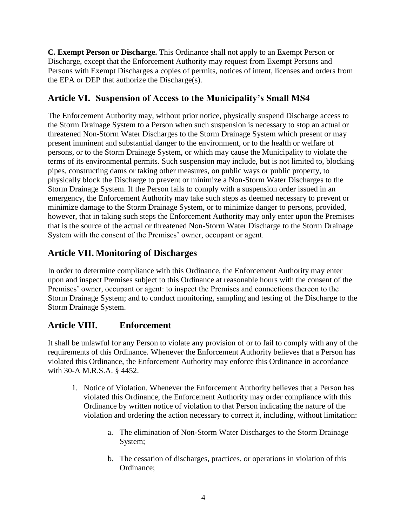**C. Exempt Person or Discharge.** This Ordinance shall not apply to an Exempt Person or Discharge, except that the Enforcement Authority may request from Exempt Persons and Persons with Exempt Discharges a copies of permits, notices of intent, licenses and orders from the EPA or DEP that authorize the Discharge(s).

## <span id="page-5-0"></span>**Article VI. Suspension of Access to the Municipality's Small MS4**

The Enforcement Authority may, without prior notice, physically suspend Discharge access to the Storm Drainage System to a Person when such suspension is necessary to stop an actual or threatened Non-Storm Water Discharges to the Storm Drainage System which present or may present imminent and substantial danger to the environment, or to the health or welfare of persons, or to the Storm Drainage System, or which may cause the Municipality to violate the terms of its environmental permits. Such suspension may include, but is not limited to, blocking pipes, constructing dams or taking other measures, on public ways or public property, to physically block the Discharge to prevent or minimize a Non-Storm Water Discharges to the Storm Drainage System. If the Person fails to comply with a suspension order issued in an emergency, the Enforcement Authority may take such steps as deemed necessary to prevent or minimize damage to the Storm Drainage System, or to minimize danger to persons, provided, however, that in taking such steps the Enforcement Authority may only enter upon the Premises that is the source of the actual or threatened Non-Storm Water Discharge to the Storm Drainage System with the consent of the Premises' owner, occupant or agent.

## <span id="page-5-1"></span>**Article VII. Monitoring of Discharges**

In order to determine compliance with this Ordinance, the Enforcement Authority may enter upon and inspect Premises subject to this Ordinance at reasonable hours with the consent of the Premises' owner, occupant or agent: to inspect the Premises and connections thereon to the Storm Drainage System; and to conduct monitoring, sampling and testing of the Discharge to the Storm Drainage System.

#### <span id="page-5-2"></span>**Article VIII. Enforcement**

It shall be unlawful for any Person to violate any provision of or to fail to comply with any of the requirements of this Ordinance. Whenever the Enforcement Authority believes that a Person has violated this Ordinance, the Enforcement Authority may enforce this Ordinance in accordance with 30-A M.R.S.A. § 4452.

- 1. Notice of Violation. Whenever the Enforcement Authority believes that a Person has violated this Ordinance, the Enforcement Authority may order compliance with this Ordinance by written notice of violation to that Person indicating the nature of the violation and ordering the action necessary to correct it, including, without limitation:
	- a. The elimination of Non-Storm Water Discharges to the Storm Drainage System;
	- b. The cessation of discharges, practices, or operations in violation of this Ordinance;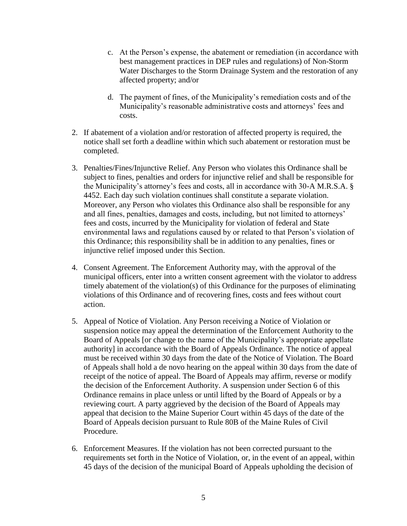- c. At the Person's expense, the abatement or remediation (in accordance with best management practices in DEP rules and regulations) of Non-Storm Water Discharges to the Storm Drainage System and the restoration of any affected property; and/or
- d. The payment of fines, of the Municipality's remediation costs and of the Municipality's reasonable administrative costs and attorneys' fees and costs.
- 2. If abatement of a violation and/or restoration of affected property is required, the notice shall set forth a deadline within which such abatement or restoration must be completed.
- 3. Penalties/Fines/Injunctive Relief. Any Person who violates this Ordinance shall be subject to fines, penalties and orders for injunctive relief and shall be responsible for the Municipality's attorney's fees and costs, all in accordance with 30-A M.R.S.A. § 4452. Each day such violation continues shall constitute a separate violation. Moreover, any Person who violates this Ordinance also shall be responsible for any and all fines, penalties, damages and costs, including, but not limited to attorneys' fees and costs, incurred by the Municipality for violation of federal and State environmental laws and regulations caused by or related to that Person's violation of this Ordinance; this responsibility shall be in addition to any penalties, fines or injunctive relief imposed under this Section.
- 4. Consent Agreement. The Enforcement Authority may, with the approval of the municipal officers, enter into a written consent agreement with the violator to address timely abatement of the violation(s) of this Ordinance for the purposes of eliminating violations of this Ordinance and of recovering fines, costs and fees without court action.
- 5. Appeal of Notice of Violation. Any Person receiving a Notice of Violation or suspension notice may appeal the determination of the Enforcement Authority to the Board of Appeals [or change to the name of the Municipality's appropriate appellate authority] in accordance with the Board of Appeals Ordinance. The notice of appeal must be received within 30 days from the date of the Notice of Violation. The Board of Appeals shall hold a de novo hearing on the appeal within 30 days from the date of receipt of the notice of appeal. The Board of Appeals may affirm, reverse or modify the decision of the Enforcement Authority. A suspension under Section 6 of this Ordinance remains in place unless or until lifted by the Board of Appeals or by a reviewing court. A party aggrieved by the decision of the Board of Appeals may appeal that decision to the Maine Superior Court within 45 days of the date of the Board of Appeals decision pursuant to Rule 80B of the Maine Rules of Civil Procedure.
- 6. Enforcement Measures. If the violation has not been corrected pursuant to the requirements set forth in the Notice of Violation, or, in the event of an appeal, within 45 days of the decision of the municipal Board of Appeals upholding the decision of